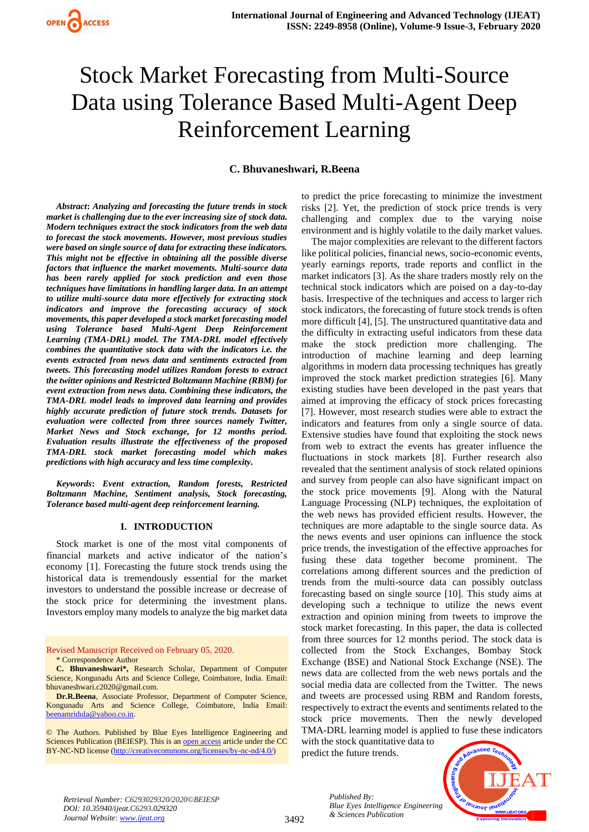# Stock Market Forecasting from Multi-Source Data using Tolerance Based Multi-Agent Deep Reinforcement Learning

# **C. Bhuvaneshwari, R.Beena**

*Abstract***:** *Analyzing and forecasting the future trends in stock market is challenging due to the ever increasing size of stock data. Modern techniques extract the stock indicators from the web data to forecast the stock movements. However, most previous studies were based on single source of data for extracting these indicators. This might not be effective in obtaining all the possible diverse factors that influence the market movements. Multi-source data has been rarely applied for stock prediction and even those techniques have limitations in handling larger data. In an attempt to utilize multi-source data more effectively for extracting stock indicators and improve the forecasting accuracy of stock movements, this paper developed a stock market forecasting model using Tolerance based Multi-Agent Deep Reinforcement Learning (TMA-DRL) model. The TMA-DRL model effectively combines the quantitative stock data with the indicators i.e. the events extracted from news data and sentiments extracted from tweets. This forecasting model utilizes Random forests to extract the twitter opinions and Restricted Boltzmann Machine (RBM) for event extraction from news data. Combining these indicators, the TMA-DRL model leads to improved data learning and provides highly accurate prediction of future stock trends. Datasets for evaluation were collected from three sources namely Twitter, Market News and Stock exchange, for 12 months period. Evaluation results illustrate the effectiveness of the proposed TMA-DRL stock market forecasting model which makes predictions with high accuracy and less time complexity.*

*Keywords***:** *Event extraction, Random forests, Restricted Boltzmann Machine, Sentiment analysis, Stock forecasting, Tolerance based multi-agent deep reinforcement learning.*

### **I. INTRODUCTION**

Stock market is one of the most vital components of financial markets and active indicator of the nation's economy [1]. Forecasting the future stock trends using the historical data is tremendously essential for the market investors to understand the possible increase or decrease of the stock price for determining the investment plans. Investors employ many models to analyze the big market data

Revised Manuscript Received on February 05, 2020. \* Correspondence Author

**C. Bhuvaneshwari\*,** Research Scholar, Department of Computer Science, Kongunadu Arts and Science College, Coimbatore, India. Email: bhuvaneshwari.c2020@gmail.com.

**Dr.R.Beena**, Associate Professor, Department of Computer Science, Kongunadu Arts and Science College, Coimbatore, India Email: [beenamridula@yahoo.co.in.](mailto:beenamridula@yahoo.co.in)

© The Authors. Published by Blue Eyes Intelligence Engineering and Sciences Publication (BEIESP). This is a[n open access](https://www.openaccess.nl/en/open-publications) article under the CC BY-NC-ND license [\(http://creativecommons.org/licenses/by-nc-nd/4.0/\)](http://creativecommons.org/licenses/by-nc-nd/4.0/)

to predict the price forecasting to minimize the investment risks [2]. Yet, the prediction of stock price trends is very challenging and complex due to the varying noise environment and is highly volatile to the daily market values.

The major complexities are relevant to the different factors like political policies, financial news, socio-economic events, yearly earnings reports, trade reports and conflict in the market indicators [3]. As the share traders mostly rely on the technical stock indicators which are poised on a day-to-day basis. Irrespective of the techniques and access to larger rich stock indicators, the forecasting of future stock trends is often more difficult [4], [5]. The unstructured quantitative data and the difficulty in extracting useful indicators from these data make the stock prediction more challenging. The introduction of machine learning and deep learning algorithms in modern data processing techniques has greatly improved the stock market prediction strategies [6]. Many existing studies have been developed in the past years that aimed at improving the efficacy of stock prices forecasting [7]. However, most research studies were able to extract the indicators and features from only a single source of data. Extensive studies have found that exploiting the stock news from web to extract the events has greater influence the fluctuations in stock markets [8]. Further research also revealed that the sentiment analysis of stock related opinions and survey from people can also have significant impact on the stock price movements [9]. Along with the Natural Language Processing (NLP) techniques, the exploitation of the web news has provided efficient results. However, the techniques are more adaptable to the single source data. As the news events and user opinions can influence the stock price trends, the investigation of the effective approaches for fusing these data together become prominent. The correlations among different sources and the prediction of trends from the multi-source data can possibly outclass forecasting based on single source [10]. This study aims at developing such a technique to utilize the news event extraction and opinion mining from tweets to improve the stock market forecasting. In this paper, the data is collected from three sources for 12 months period. The stock data is collected from the Stock Exchanges, Bombay Stock Exchange (BSE) and National Stock Exchange (NSE). The news data are collected from the web news portals and the social media data are collected from the Twitter. The news and tweets are processed using RBM and Random forests, respectively to extract the events and sentiments related to the stock price movements. Then the newly developed TMA-DRL learning model is applied to fuse these indicators with the stock quantitative data to

predict the future trends.

*& Sciences Publication* 

*Published By:*



*Retrieval Number: C6293029320/2020©BEIESP DOI: 10.35940/ijeat.C6293.029320 Journal Website[: www.ijeat.org](http://www.ijeat.org/)*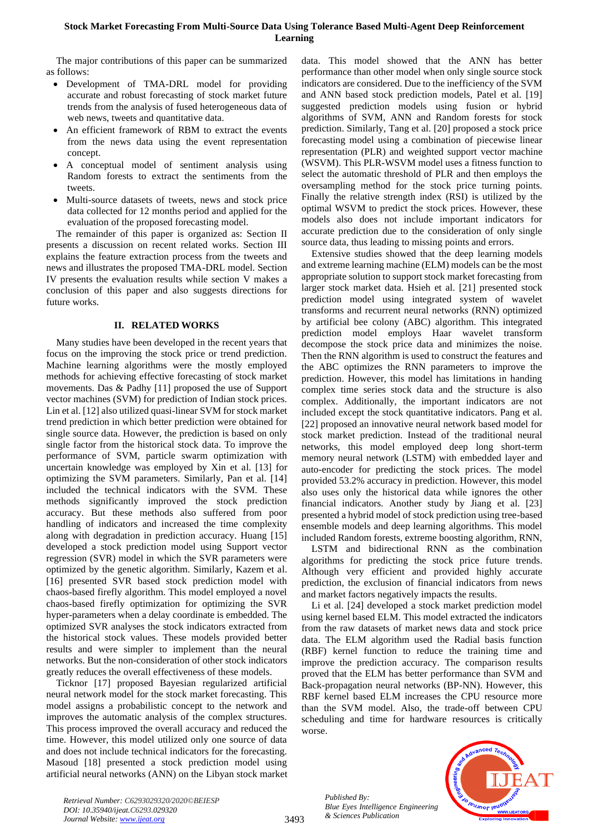# **Stock Market Forecasting From Multi-Source Data Using Tolerance Based Multi-Agent Deep Reinforcement Learning**

The major contributions of this paper can be summarized as follows:

- Development of TMA-DRL model for providing accurate and robust forecasting of stock market future trends from the analysis of fused heterogeneous data of web news, tweets and quantitative data.
- An efficient framework of RBM to extract the events from the news data using the event representation concept.
- A conceptual model of sentiment analysis using Random forests to extract the sentiments from the tweets.
- Multi-source datasets of tweets, news and stock price data collected for 12 months period and applied for the evaluation of the proposed forecasting model.

The remainder of this paper is organized as: Section II presents a discussion on recent related works. Section III explains the feature extraction process from the tweets and news and illustrates the proposed TMA-DRL model. Section IV presents the evaluation results while section V makes a conclusion of this paper and also suggests directions for future works.

# **II. RELATED WORKS**

Many studies have been developed in the recent years that focus on the improving the stock price or trend prediction. Machine learning algorithms were the mostly employed methods for achieving effective forecasting of stock market movements. Das & Padhy [11] proposed the use of Support vector machines (SVM) for prediction of Indian stock prices. Lin et al. [12] also utilized quasi-linear SVM for stock market trend prediction in which better prediction were obtained for single source data. However, the prediction is based on only single factor from the historical stock data. To improve the performance of SVM, particle swarm optimization with uncertain knowledge was employed by Xin et al. [13] for optimizing the SVM parameters. Similarly, Pan et al. [14] included the technical indicators with the SVM. These methods significantly improved the stock prediction accuracy. But these methods also suffered from poor handling of indicators and increased the time complexity along with degradation in prediction accuracy. Huang [15] developed a stock prediction model using Support vector regression (SVR) model in which the SVR parameters were optimized by the genetic algorithm. Similarly, Kazem et al. [16] presented SVR based stock prediction model with chaos-based firefly algorithm. This model employed a novel chaos-based firefly optimization for optimizing the SVR hyper-parameters when a delay coordinate is embedded. The optimized SVR analyses the stock indicators extracted from the historical stock values. These models provided better results and were simpler to implement than the neural networks. But the non-consideration of other stock indicators greatly reduces the overall effectiveness of these models.

Ticknor [17] proposed Bayesian regularized artificial neural network model for the stock market forecasting. This model assigns a probabilistic concept to the network and improves the automatic analysis of the complex structures. This process improved the overall accuracy and reduced the time. However, this model utilized only one source of data and does not include technical indicators for the forecasting. Masoud [18] presented a stock prediction model using artificial neural networks (ANN) on the Libyan stock market data. This model showed that the ANN has better performance than other model when only single source stock indicators are considered. Due to the inefficiency of the SVM and ANN based stock prediction models, Patel et al. [19] suggested prediction models using fusion or hybrid algorithms of SVM, ANN and Random forests for stock prediction. Similarly, Tang et al. [20] proposed a stock price forecasting model using a combination of piecewise linear representation (PLR) and weighted support vector machine (WSVM). This PLR-WSVM model uses a fitness function to select the automatic threshold of PLR and then employs the oversampling method for the stock price turning points. Finally the relative strength index (RSI) is utilized by the optimal WSVM to predict the stock prices. However, these models also does not include important indicators for accurate prediction due to the consideration of only single source data, thus leading to missing points and errors.

Extensive studies showed that the deep learning models and extreme learning machine (ELM) models can be the most appropriate solution to support stock market forecasting from larger stock market data. Hsieh et al. [21] presented stock prediction model using integrated system of wavelet transforms and recurrent neural networks (RNN) optimized by artificial bee colony (ABC) algorithm. This integrated prediction model employs Haar wavelet transform decompose the stock price data and minimizes the noise. Then the RNN algorithm is used to construct the features and the ABC optimizes the RNN parameters to improve the prediction. However, this model has limitations in handing complex time series stock data and the structure is also complex. Additionally, the important indicators are not included except the stock quantitative indicators. Pang et al. [22] proposed an innovative neural network based model for stock market prediction. Instead of the traditional neural networks, this model employed deep long short-term memory neural network (LSTM) with embedded layer and auto-encoder for predicting the stock prices. The model provided 53.2% accuracy in prediction. However, this model also uses only the historical data while ignores the other financial indicators. Another study by Jiang et al. [23] presented a hybrid model of stock prediction using tree-based ensemble models and deep learning algorithms. This model included Random forests, extreme boosting algorithm, RNN,

LSTM and bidirectional RNN as the combination algorithms for predicting the stock price future trends. Although very efficient and provided highly accurate prediction, the exclusion of financial indicators from news and market factors negatively impacts the results.

Li et al. [24] developed a stock market prediction model using kernel based ELM. This model extracted the indicators from the raw datasets of market news data and stock price data. The ELM algorithm used the Radial basis function (RBF) kernel function to reduce the training time and improve the prediction accuracy. The comparison results proved that the ELM has better performance than SVM and Back-propagation neural networks (BP-NN). However, this RBF kernel based ELM increases the CPU resource more than the SVM model. Also, the trade-off between CPU scheduling and time for hardware resources is critically worse.

*Published By: Blue Eyes Intelligence Engineering & Sciences Publication* 



*Retrieval Number: C6293029320/2020©BEIESP DOI: 10.35940/ijeat.C6293.029320 Journal Website[: www.ijeat.org](http://www.ijeat.org/)*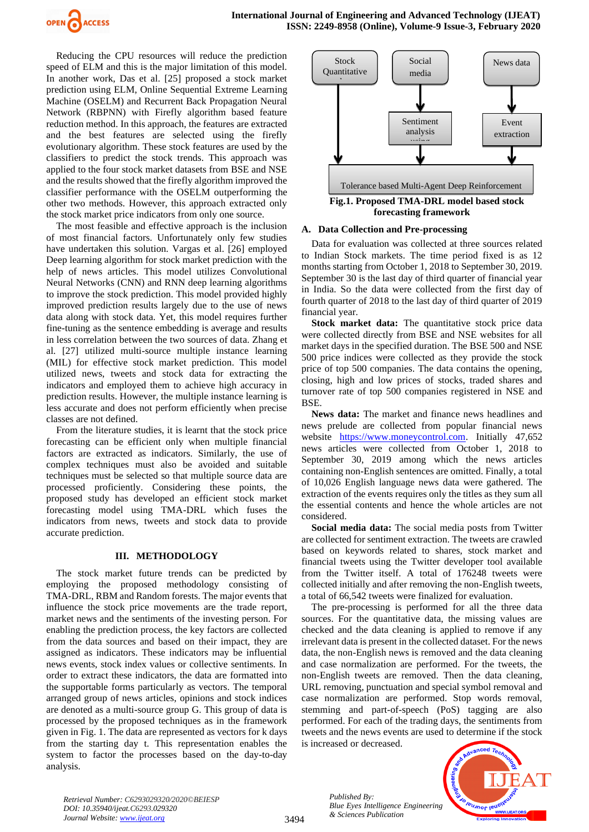

Reducing the CPU resources will reduce the prediction speed of ELM and this is the major limitation of this model. In another work, Das et al. [25] proposed a stock market prediction using ELM, Online Sequential Extreme Learning Machine (OSELM) and Recurrent Back Propagation Neural Network (RBPNN) with Firefly algorithm based feature reduction method. In this approach, the features are extracted and the best features are selected using the firefly evolutionary algorithm. These stock features are used by the classifiers to predict the stock trends. This approach was applied to the four stock market datasets from BSE and NSE and the results showed that the firefly algorithm improved the classifier performance with the OSELM outperforming the other two methods. However, this approach extracted only the stock market price indicators from only one source.

The most feasible and effective approach is the inclusion of most financial factors. Unfortunately only few studies have undertaken this solution. Vargas et al. [26] employed Deep learning algorithm for stock market prediction with the help of news articles. This model utilizes Convolutional Neural Networks (CNN) and RNN deep learning algorithms to improve the stock prediction. This model provided highly improved prediction results largely due to the use of news data along with stock data. Yet, this model requires further fine-tuning as the sentence embedding is average and results in less correlation between the two sources of data. Zhang et al. [27] utilized multi-source multiple instance learning (MIL) for effective stock market prediction. This model utilized news, tweets and stock data for extracting the indicators and employed them to achieve high accuracy in prediction results. However, the multiple instance learning is less accurate and does not perform efficiently when precise classes are not defined.

From the literature studies, it is learnt that the stock price forecasting can be efficient only when multiple financial factors are extracted as indicators. Similarly, the use of complex techniques must also be avoided and suitable techniques must be selected so that multiple source data are processed proficiently. Considering these points, the proposed study has developed an efficient stock market forecasting model using TMA-DRL which fuses the indicators from news, tweets and stock data to provide accurate prediction.

## **III. METHODOLOGY**

The stock market future trends can be predicted by employing the proposed methodology consisting of TMA-DRL, RBM and Random forests. The major events that influence the stock price movements are the trade report, market news and the sentiments of the investing person. For enabling the prediction process, the key factors are collected from the data sources and based on their impact, they are assigned as indicators. These indicators may be influential news events, stock index values or collective sentiments. In order to extract these indicators, the data are formatted into the supportable forms particularly as vectors. The temporal arranged group of news articles, opinions and stock indices are denoted as a multi-source group G. This group of data is processed by the proposed techniques as in the framework given in Fig. 1. The data are represented as vectors for k days from the starting day t. This representation enables the system to factor the processes based on the day-to-day analysis.



Fig.1. Proposed TMA-DRL model based stock **forecasting framework**

#### **A. Data Collection and Pre-processing**

Data for evaluation was collected at three sources related to Indian Stock markets. The time period fixed is as 12 months starting from October 1, 2018 to September 30, 2019. September 30 is the last day of third quarter of financial year in India. So the data were collected from the first day of fourth quarter of 2018 to the last day of third quarter of 2019 financial year.

**Stock market data:** The quantitative stock price data were collected directly from BSE and NSE websites for all market days in the specified duration. The BSE 500 and NSE 500 price indices were collected as they provide the stock price of top 500 companies. The data contains the opening, closing, high and low prices of stocks, traded shares and turnover rate of top 500 companies registered in NSE and **BSE** 

**News data:** The market and finance news headlines and news prelude are collected from popular financial news website [https://www.moneycontrol.com.](https://www.moneycontrol.com/) Initially 47,652 news articles were collected from October 1, 2018 to September 30, 2019 among which the news articles containing non-English sentences are omitted. Finally, a total of 10,026 English language news data were gathered. The extraction of the events requires only the titles as they sum all the essential contents and hence the whole articles are not considered.

**Social media data:** The social media posts from Twitter are collected for sentiment extraction. The tweets are crawled based on keywords related to shares, stock market and financial tweets using the Twitter developer tool available from the Twitter itself. A total of 176248 tweets were collected initially and after removing the non-English tweets, a total of 66,542 tweets were finalized for evaluation.

The pre-processing is performed for all the three data sources. For the quantitative data, the missing values are checked and the data cleaning is applied to remove if any irrelevant data is present in the collected dataset. For the news data, the non-English news is removed and the data cleaning and case normalization are performed. For the tweets, the non-English tweets are removed. Then the data cleaning, URL removing, punctuation and special symbol removal and case normalization are performed. Stop words removal, stemming and part-of-speech (PoS) tagging are also performed. For each of the trading days, the sentiments from tweets and the news events are used to determine if the stock is increased or decreased.



*Retrieval Number: C6293029320/2020©BEIESP DOI: 10.35940/ijeat.C6293.029320 Journal Website[: www.ijeat.org](http://www.ijeat.org/)*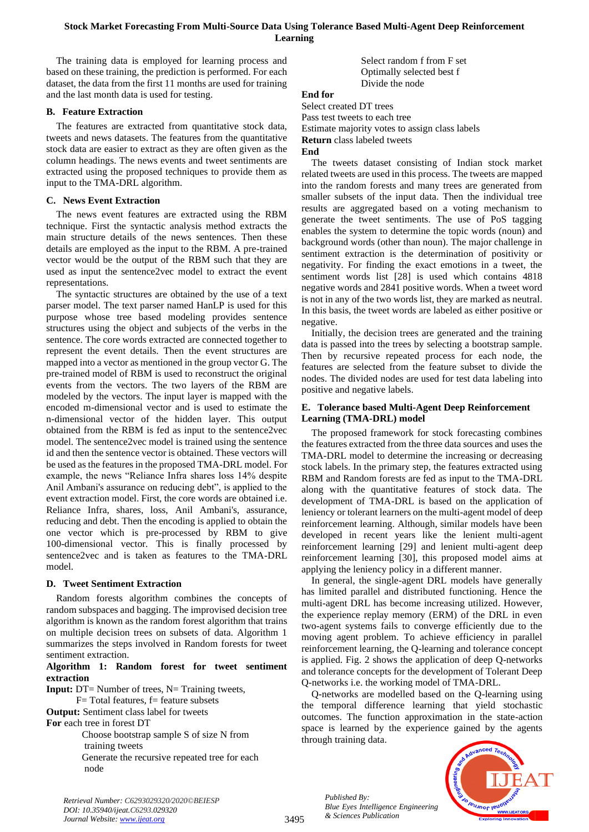The training data is employed for learning process and based on these training, the prediction is performed. For each dataset, the data from the first 11 months are used for training and the last month data is used for testing.

# **B. Feature Extraction**

The features are extracted from quantitative stock data, tweets and news datasets. The features from the quantitative stock data are easier to extract as they are often given as the column headings. The news events and tweet sentiments are extracted using the proposed techniques to provide them as input to the TMA-DRL algorithm.

# **C. News Event Extraction**

The news event features are extracted using the RBM technique. First the syntactic analysis method extracts the main structure details of the news sentences. Then these details are employed as the input to the RBM. A pre-trained vector would be the output of the RBM such that they are used as input the sentence2vec model to extract the event representations.

The syntactic structures are obtained by the use of a text parser model. The text parser named HanLP is used for this purpose whose tree based modeling provides sentence structures using the object and subjects of the verbs in the sentence. The core words extracted are connected together to represent the event details. Then the event structures are mapped into a vector as mentioned in the group vector G. The pre-trained model of RBM is used to reconstruct the original events from the vectors. The two layers of the RBM are modeled by the vectors. The input layer is mapped with the encoded m-dimensional vector and is used to estimate the n-dimensional vector of the hidden layer. This output obtained from the RBM is fed as input to the sentence2vec model. The sentence2vec model is trained using the sentence id and then the sentence vector is obtained. These vectors will be used as the features in the proposed TMA-DRL model. For example, the news "Reliance Infra shares loss 14% despite Anil Ambani's assurance on reducing debt", is applied to the event extraction model. First, the core words are obtained i.e. Reliance Infra, shares, loss, Anil Ambani's, assurance, reducing and debt. Then the encoding is applied to obtain the one vector which is pre-processed by RBM to give 100-dimensional vector. This is finally processed by sentence2vec and is taken as features to the TMA-DRL model.

# **D. Tweet Sentiment Extraction**

Random forests algorithm combines the concepts of random subspaces and bagging. The improvised decision tree algorithm is known as the random forest algorithm that trains on multiple decision trees on subsets of data. Algorithm 1 summarizes the steps involved in Random forests for tweet sentiment extraction.

## **Algorithm 1: Random forest for tweet sentiment extraction**

**Input:** DT= Number of trees, N= Training tweets,

 $F=$  Total features,  $f=$  feature subsets

**Output:** Sentiment class label for tweets

**For** each tree in forest DT

Choose bootstrap sample S of size N from training tweets Generate the recursive repeated tree for each node

 Select random f from F set Optimally selected best f Divide the node

## **End for**

Select created DT trees Pass test tweets to each tree Estimate majority votes to assign class labels

**Return** class labeled tweets

#### **End**

The tweets dataset consisting of Indian stock market related tweets are used in this process. The tweets are mapped into the random forests and many trees are generated from smaller subsets of the input data. Then the individual tree results are aggregated based on a voting mechanism to generate the tweet sentiments. The use of PoS tagging enables the system to determine the topic words (noun) and background words (other than noun). The major challenge in sentiment extraction is the determination of positivity or negativity. For finding the exact emotions in a tweet, the sentiment words list [28] is used which contains 4818 negative words and 2841 positive words. When a tweet word is not in any of the two words list, they are marked as neutral. In this basis, the tweet words are labeled as either positive or negative.

Initially, the decision trees are generated and the training data is passed into the trees by selecting a bootstrap sample. Then by recursive repeated process for each node, the features are selected from the feature subset to divide the nodes. The divided nodes are used for test data labeling into positive and negative labels.

## **E. Tolerance based Multi-Agent Deep Reinforcement Learning (TMA-DRL) model**

The proposed framework for stock forecasting combines the features extracted from the three data sources and uses the TMA-DRL model to determine the increasing or decreasing stock labels. In the primary step, the features extracted using RBM and Random forests are fed as input to the TMA-DRL along with the quantitative features of stock data. The development of TMA-DRL is based on the application of leniency or tolerant learners on the multi-agent model of deep reinforcement learning. Although, similar models have been developed in recent years like the lenient multi-agent reinforcement learning [29] and lenient multi-agent deep reinforcement learning [30], this proposed model aims at applying the leniency policy in a different manner.

In general, the single-agent DRL models have generally has limited parallel and distributed functioning. Hence the multi-agent DRL has become increasing utilized. However, the experience replay memory (ERM) of the DRL in even two-agent systems fails to converge efficiently due to the moving agent problem. To achieve efficiency in parallel reinforcement learning, the Q-learning and tolerance concept is applied. Fig. 2 shows the application of deep Q-networks and tolerance concepts for the development of Tolerant Deep Q-networks i.e. the working model of TMA-DRL.

Q-networks are modelled based on the Q-learning using the temporal difference learning that yield stochastic outcomes. The function approximation in the state-action space is learned by the experience gained by the agents through training data.



*Retrieval Number: C6293029320/2020©BEIESP DOI: 10.35940/ijeat.C6293.029320 Journal Website[: www.ijeat.org](http://www.ijeat.org/)*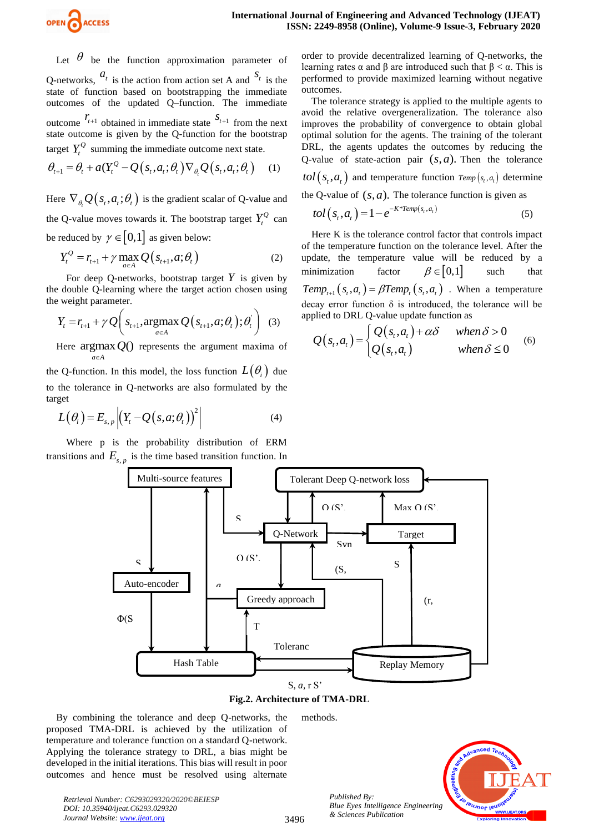

Let  $\theta$  be the function approximation parameter of Q-networks,  $a_t$  is the action from action set A and  $s_t$  is the state of function based on bootstrapping the immediate outcomes of the updated Q–function. The immediate outcome  $r_{t+1}$  obtained in immediate state  $S_{t+1}$  from the next state outcome is given by the Q-function for the bootstrap target  $Y_t^Q$  summing the immediate outcome next state.

$$
\theta_{t+1} = \theta_t + a(Y_t^Q - Q(s_t, a_t; \theta_t) \nabla_{\theta_t} Q(s_t, a_t; \theta_t)
$$
 (1)

Here  $\nabla_{\theta_t} Q(s_t, a_t; \theta_t)$  is the gradient scalar of Q-value and the Q-value moves towards it. The bootstrap target  $Y_t^Q$  can be reduced by  $\gamma \in [0,1]$  as given below:

$$
Y_t^Q = r_{t+1} + \gamma \max_{a \in A} Q(s_{t+1}, a; \theta_t)
$$
 (2)

For deep Q-networks, bootstrap target  $Y$  is given by the double Q-learning where the target action chosen using the weight parameter.

$$
Y_{t} = r_{t+1} + \gamma Q\bigg(s_{t+1}, \underset{a \in A}{\text{argmax}} Q\big(s_{t+1}, a; \theta_{t}\big); \theta_{t}^{'}\bigg) \tag{3}
$$

Here  $argmax Q()$  represents the argument maxima of  $a \in A$ ∈.

the Q-function. In this model, the loss function  $L(\theta_i)$  due to the tolerance in Q-networks are also formulated by the target

$$
L(\theta_i) = E_{s,p} \left| \left( Y_t - Q(s, a; \theta_t) \right)^2 \right| \tag{4}
$$

Where p is the probability distribution of ERM transitions and  $E_{s,p}$  is the time based transition function. In

order to provide decentralized learning of Q-networks, the learning rates  $\alpha$  and  $\beta$  are introduced such that  $\beta < \alpha$ . This is performed to provide maximized learning without negative outcomes.

The tolerance strategy is applied to the multiple agents to avoid the relative overgeneralization. The tolerance also improves the probability of convergence to obtain global optimal solution for the agents. The training of the tolerant DRL, the agents updates the outcomes by reducing the Q-value of state-action pair  $(s, a)$ . Then the tolerance  $tol(s_t, a_t)$  and temperature function  $Temp(s_t, a_t)$  determine the Q-value of  $(s, a)$ . The tolerance function is given as

$$
tol(st, at) = 1 - e^{-K * Temp(st, at)} \tag{5}
$$

Here K is the tolerance control factor that controls impact of the temperature function on the tolerance level. After the update, the temperature value will be reduced by a minimization factor  $\beta \in [0,1]$ such that  $Temp_{t+1}(s_t, a_t) = \beta Temp_t(s_t, a_t)$ . When a temperature decay error function  $\delta$  is introduced, the tolerance will be applied to DRL Q-value update function as

$$
Q(s_t, a_t) = \begin{cases} Q(s_t, a_t) + \alpha \delta & \text{when } \delta > 0\\ Q(s_t, a_t) & \text{when } \delta \le 0 \end{cases}
$$
 (6)



**Fig.2. Architecture of TMA-DRL**

methods.

By combining the tolerance and deep Q-networks, the proposed TMA-DRL is achieved by the utilization of temperature and tolerance function on a standard Q-network. Applying the tolerance strategy to DRL, a bias might be developed in the initial iterations. This bias will result in poor outcomes and hence must be resolved using alternate

*Retrieval Number: C6293029320/2020©BEIESP DOI: 10.35940/ijeat.C6293.029320 Journal Website[: www.ijeat.org](http://www.ijeat.org/)*

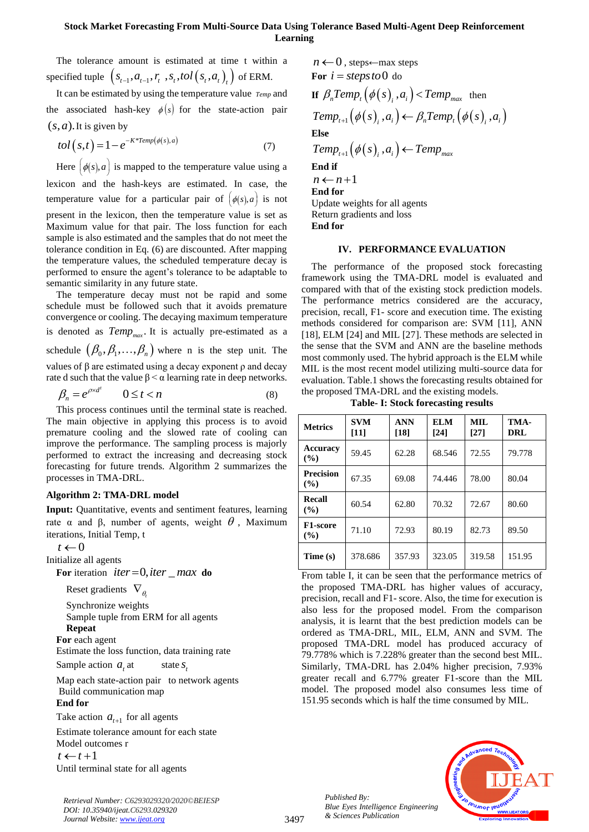# **Stock Market Forecasting From Multi-Source Data Using Tolerance Based Multi-Agent Deep Reinforcement Learning**

The tolerance amount is estimated at time t within a specified tuple  $\left(s_{t-1}, a_{t-1}, r_t, s_t, tol(s_t, a_t)\right)$  of ERM.

It can be estimated by using the temperature value *Temp* and the associated hash-key  $\phi(s)$  for the state-action pair  $(s, a)$ . It is given by

$$
tol(s,t) = 1 - e^{-K*Temp(\phi(s),a)}
$$
\n(7)

Here  $(\phi(s), a)$  is mapped to the temperature value using a lexicon and the hash-keys are estimated. In case, the temperature value for a particular pair of  $(\phi(s), a)$  is not present in the lexicon, then the temperature value is set as Maximum value for that pair. The loss function for each sample is also estimated and the samples that do not meet the tolerance condition in Eq. (6) are discounted. After mapping the temperature values, the scheduled temperature decay is performed to ensure the agent's tolerance to be adaptable to semantic similarity in any future state.

The temperature decay must not be rapid and some schedule must be followed such that it avoids premature convergence or cooling. The decaying maximum temperature is denoted as  $Temp_{max}$ . It is actually pre-estimated as a schedule  $(\beta_0, \beta_1, ..., \beta_n)$  where n is the step unit. The values of β are estimated using a decay exponent ρ and decay rate d such that the value  $\beta < \alpha$  learning rate in deep networks.

$$
\beta_n = e^{\rho \times d^t} \qquad 0 \le t < n \tag{8}
$$

This process continues until the terminal state is reached. The main objective in applying this process is to avoid premature cooling and the slowed rate of cooling can improve the performance. The sampling process is majorly performed to extract the increasing and decreasing stock forecasting for future trends. Algorithm 2 summarizes the processes in TMA-DRL.

#### **Algorithm 2: TMA-DRL model**

**Input:** Quantitative, events and sentiment features, learning rate α and β, number of agents, weight  $\theta$ , Maximum iterations, Initial Temp, t

 $t \leftarrow 0$ 

Initialize all agents

**For** iteration *iter* = 0, *iter* \_ *max* do

Reset gradients  $\nabla_{\theta_t}$ 

Synchronize weights Sample tuple from ERM for all agents

## **Repeat**

**For** each agent Estimate the loss function, data training rate

Sample action  $a_i$ at state  $S_t$ 

Map each state-action pair to network agents Build communication map **End for**

Take action  $a_{t+1}$  for all agents

Estimate tolerance amount for each state Model outcomes r

$$
t \leftarrow t+1
$$

Until terminal state for all agents

```
n ← 0 , steps←max steps
For i = steps to 0 do
\textbf{If}~~ \beta _{_{n}} Temp_{_{t}}\big(\phi \big(s\big)_{_{i}},a_{_{i}}\big)\!<\!Temp_{max}~~\text{then}if \beta_n I emp<sub>t</sub> (\varphi(s)_i, a_i) < I emp<sub>max</sub> then<br>
Temp<sub>t+1</sub> (\varphi(s)_i, a_i) ← \beta_n Temp<sub>t</sub> (\varphi(s)_i, a_i)Else
 Temp_{_{t+1}}\big(\phi\big(s\big)_i, a_i\big) \leftarrow Temp_{max}End if
n \leftarrow n+1End for
```
Update weights for all agents Return gradients and loss **End for**

#### **IV. PERFORMANCE EVALUATION**

The performance of the proposed stock forecasting framework using the TMA-DRL model is evaluated and compared with that of the existing stock prediction models. The performance metrics considered are the accuracy, precision, recall, F1- score and execution time. The existing methods considered for comparison are: SVM [11], ANN [18], ELM [24] and MIL [27]. These methods are selected in the sense that the SVM and ANN are the baseline methods most commonly used. The hybrid approach is the ELM while MIL is the most recent model utilizing multi-source data for evaluation. Table.1 shows the forecasting results obtained for the proposed TMA-DRL and the existing models.

**Table- I: Stock forecasting results**

| <b>Metrics</b>          | <b>SVM</b><br>[11] | <b>ANN</b><br>[18] | <b>ELM</b><br>[24] | MIL.<br>[27] | TMA-<br><b>DRL</b> |
|-------------------------|--------------------|--------------------|--------------------|--------------|--------------------|
| Accuracy<br>$($ %)      | 59.45              | 62.28              | 68.546             | 72.55        | 79.778             |
| <b>Precision</b><br>(%) | 67.35              | 69.08              | 74.446             | 78.00        | 80.04              |
| Recall<br>(%)           | 60.54              | 62.80              | 70.32              | 72.67        | 80.60              |
| F1-score<br>(%)         | 71.10              | 72.93              | 80.19              | 82.73        | 89.50              |
| Time (s)                | 378.686            | 357.93             | 323.05             | 319.58       | 151.95             |

From table I, it can be seen that the performance metrics of the proposed TMA-DRL has higher values of accuracy, precision, recall and F1- score. Also, the time for execution is also less for the proposed model. From the comparison analysis, it is learnt that the best prediction models can be ordered as TMA-DRL, MIL, ELM, ANN and SVM. The proposed TMA-DRL model has produced accuracy of 79.778% which is 7.228% greater than the second best MIL. Similarly, TMA-DRL has 2.04% higher precision, 7.93% greater recall and 6.77% greater F1-score than the MIL model. The proposed model also consumes less time of 151.95 seconds which is half the time consumed by MIL.

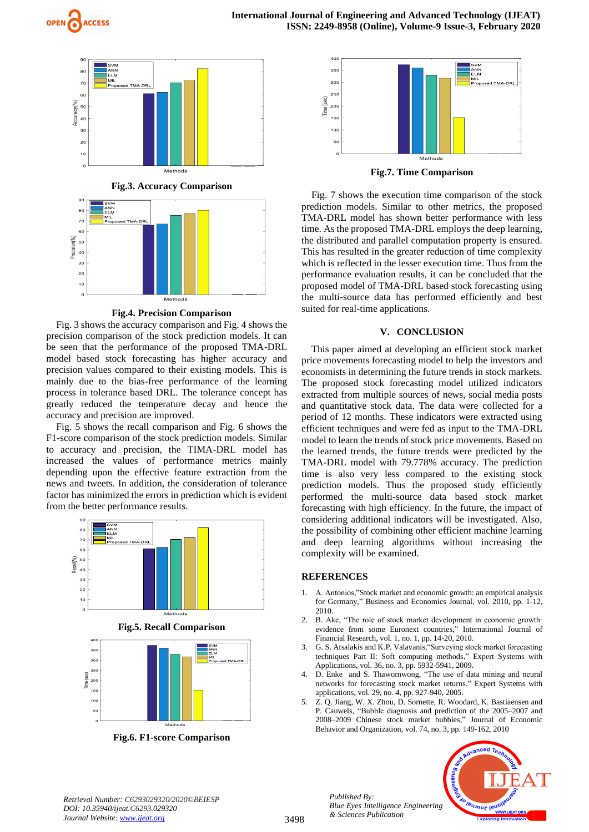



**Fig.3. Accuracy Comparison**



**Fig.4. Precision Comparison**

Fig. 3 shows the accuracy comparison and Fig. 4 shows the precision comparison of the stock prediction models. It can be seen that the performance of the proposed TMA-DRL model based stock forecasting has higher accuracy and precision values compared to their existing models. This is mainly due to the bias-free performance of the learning process in tolerance based DRL. The tolerance concept has greatly reduced the temperature decay and hence the accuracy and precision are improved.

Fig. 5 shows the recall comparison and Fig. 6 shows the F1-score comparison of the stock prediction models. Similar to accuracy and precision, the TIMA-DRL model has increased the values of performance metrics mainly depending upon the effective feature extraction from the news and tweets. In addition, the consideration of tolerance factor has minimized the errors in prediction which is evident from the better performance results.



**Fig.6. F1-score Comparison**



**Fig.7. Time Comparison**

Fig. 7 shows the execution time comparison of the stock prediction models. Similar to other metrics, the proposed TMA-DRL model has shown better performance with less time. As the proposed TMA-DRL employs the deep learning, the distributed and parallel computation property is ensured. This has resulted in the greater reduction of time complexity which is reflected in the lesser execution time. Thus from the performance evaluation results, it can be concluded that the proposed model of TMA-DRL based stock forecasting using the multi-source data has performed efficiently and best suited for real-time applications.

## **V. CONCLUSION**

This paper aimed at developing an efficient stock market price movements forecasting model to help the investors and economists in determining the future trends in stock markets. The proposed stock forecasting model utilized indicators extracted from multiple sources of news, social media posts and quantitative stock data. The data were collected for a period of 12 months. These indicators were extracted using efficient techniques and were fed as input to the TMA-DRL model to learn the trends of stock price movements. Based on the learned trends, the future trends were predicted by the TMA-DRL model with 79.778% accuracy. The prediction time is also very less compared to the existing stock prediction models. Thus the proposed study efficiently performed the multi-source data based stock market forecasting with high efficiency. In the future, the impact of considering additional indicators will be investigated. Also, the possibility of combining other efficient machine learning and deep learning algorithms without increasing the complexity will be examined.

## **REFERENCES**

*Published By:*

*& Sciences Publication* 

- 1. A. Antonios,"Stock market and economic growth: an empirical analysis for Germany," Business and Economics Journal, vol. 2010, pp. 1-12, 2010.
- 2. B. Ake, "The role of stock market development in economic growth: evidence from some Euronext countries," International Journal of Financial Research, vol. 1, no. 1, pp. 14-20, 2010.
- 3. G. S. Atsalakis and K.P. Valavanis, "Surveying stock market forecasting techniques–Part II: Soft computing methods," Expert Systems with Applications, vol. 36, no. 3, pp. 5932-5941, 2009.
- 4. D. Enke and S. Thawornwong, "The use of data mining and neural networks for forecasting stock market returns," Expert Systems with applications, vol. 29, no. 4, pp. 927-940, 2005.
- 5. Z. Q. Jiang, W. X. Zhou, D. Sornette, R. Woodard, K. Bastiaensen and P. Cauwels, "Bubble diagnosis and prediction of the 2005–2007 and 2008–2009 Chinese stock market bubbles," Journal of Economic Behavior and Organization, vol. 74, no. 3, pp. 149-162, 2010